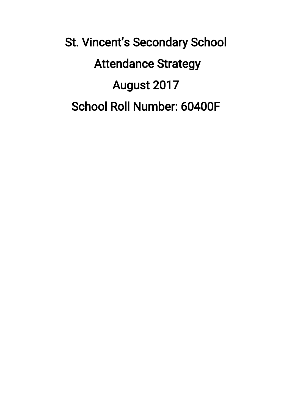St. Vincent's Secondary School **Attendance Strategy** August 2017 School Roll Number: 60400F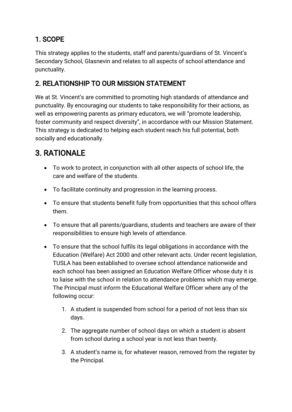### 1.SCOPE

This strategy applies to the students, staff and parents/guardians of St. Vincent's Secondary School, Glasnevin and relates to all aspects of school attendance and punctuality.

### 2. RELATIONSHIP TO OUR MISSION STATEMENT

We at St. Vincent's are committed to promoting high standards of attendance and punctuality. By encouraging our students to take responsibility for their actions, as well as empowering parents as primary educators, we will "promote leadership, foster community and respect diversity", in accordance with our Mission Statement. This strategy is dedicated to helping each student reach his full potential, both socially and educationally.

# 3.RATIONALE

- To work to protect, in conjunction with all other aspects of school life, the care and welfare of the students.
- To facilitate continuity and progression in the learning process.
- To ensure that students benefit fully from opportunities that this school offers them.
- To ensure that all parents/guardians, students and teachers are aware of their responsibilities to ensure high levels of attendance.
- To ensure that the school fulfils its legal obligations in accordance with the Education (Welfare) Act 2000 and other relevant acts. Under recent legislation, TUSLA has been established to oversee school attendance nationwide and each school has been assigned an Education Welfare Officer whose duty it is to liaise with the school in relation to attendance problems which may emerge. The Principal must inform the Educational Welfare Officer where any of the following occur:
	- 1. A student is suspended from school for a period of not less than six days.
	- 2. The aggregate number of school days on which a student is absent from school during a school year is not less than twenty.
	- 3. A student's name is, for whatever reason, removed from the register by the Principal.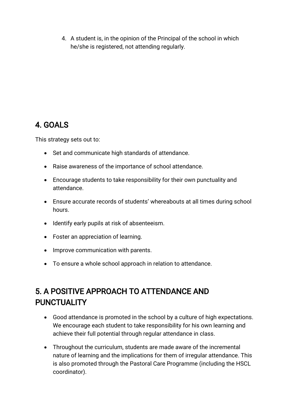4. A student is, in the opinion of the Principal of the school in which he/she is registered, not attending regularly.

## 4.GOALS

This strategy sets out to:

- Set and communicate high standards of attendance.
- Raise awareness of the importance of school attendance.
- Encourage students to take responsibility for their own punctuality and attendance.
- Ensure accurate records of students' whereabouts at all times during school hours.
- Identify early pupils at risk of absenteeism.
- Foster an appreciation of learning.
- Improve communication with parents.
- To ensure a whole school approach in relation to attendance.

# 5.APOSITIVEAPPROACHTOATTENDANCEAND **PUNCTUALITY**

- Good attendance is promoted in the school by a culture of high expectations. We encourage each student to take responsibility for his own learning and achieve their full potential through regular attendance in class.
- Throughout the curriculum, students are made aware of the incremental nature of learning and the implications for them of irregular attendance. This is also promoted through the Pastoral Care Programme (including the HSCL coordinator).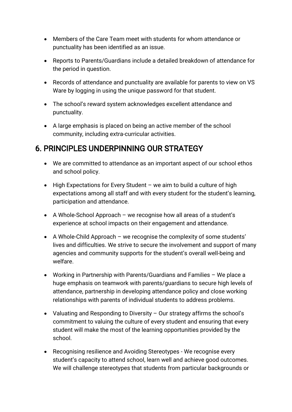- Members of the Care Team meet with students for whom attendance or punctuality has been identified as an issue.
- Reports to Parents/Guardians include a detailed breakdown of attendance for the period in question.
- Records of attendance and punctuality are available for parents to view on VS Ware by logging in using the unique password for that student.
- The school's reward system acknowledges excellent attendance and punctuality.
- A large emphasis is placed on being an active member of the school community, including extra-curricular activities.

### 6. PRINCIPLES UNDERPINNING OUR STRATEGY

- We are committed to attendance as an important aspect of our school ethos and school policy.
- $\bullet$  High Expectations for Every Student we aim to build a culture of high expectations among all staff and with every student for the student's learning, participation and attendance.
- A Whole-School Approach we recognise how all areas of a student's experience at school impacts on their engagement and attendance.
- $\bullet$  A Whole-Child Approach we recognise the complexity of some students' lives and difficulties. We strive to secure the involvement and support of many agencies and community supports for the student's overall well-being and welfare.
- Working in Partnership with Parents/Guardians and Families  $-$  We place a huge emphasis on teamwork with parents/guardians to secure high levels of attendance, partnership in developing attendance policy and close working relationships with parents of individual students to address problems.
- Valuating and Responding to Diversity Our strategy affirms the school's commitment to valuing the culture of every student and ensuring that every student will make the most of the learning opportunities provided by the school.
- Recognising resilience and Avoiding Stereotypes We recognise every student's capacity to attend school, learn well and achieve good outcomes. We will challenge stereotypes that students from particular backgrounds or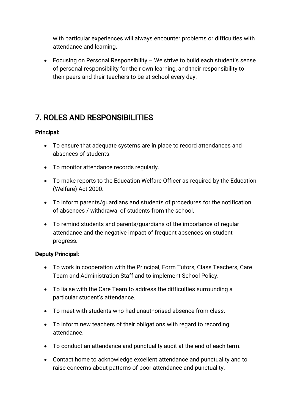with particular experiences will always encounter problems or difficulties with attendance and learning.

Focusing on Personal Responsibility – We strive to build each student's sense of personal responsibility for their own learning, and their responsibility to their peers and their teachers to be at school every day.

# **7. ROLES AND RESPONSIBILITIES**

#### Principal:

- To ensure that adequate systems are in place to record attendances and absences of students.
- To monitor attendance records regularly.
- To make reports to the Education Welfare Officer as required by the Education (Welfare) Act 2000.
- To inform parents/guardians and students of procedures for the notification of absences / withdrawal of students from the school.
- To remind students and parents/guardians of the importance of regular attendance and the negative impact of frequent absences on student progress.

#### Deputy Principal:

- To work in cooperation with the Principal, Form Tutors, Class Teachers, Care Team and Administration Staff and to implement School Policy.
- To liaise with the Care Team to address the difficulties surrounding a particular student's attendance.
- To meet with students who had unauthorised absence from class.
- To inform new teachers of their obligations with regard to recording attendance.
- To conduct an attendance and punctuality audit at the end of each term.
- Contact home to acknowledge excellent attendance and punctuality and to raise concerns about patterns of poor attendance and punctuality.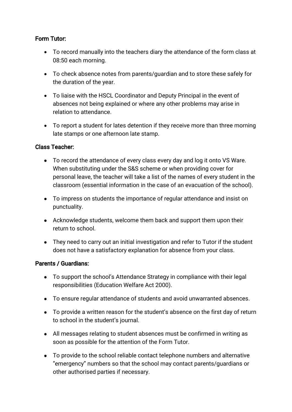#### Form Tutor:

- To record manually into the teachers diary the attendance of the form class at 08:50 each morning.
- To check absence notes from parents/guardian and to store these safely for the duration of the year.
- To liaise with the HSCL Coordinator and Deputy Principal in the event of absences not being explained or where any other problems may arise in relation to attendance.
- To report a student for lates detention if they receive more than three morning late stamps or one afternoon late stamp.

#### ClassTeacher:

- To record the attendance of every class every day and log it onto VS Ware. When substituting under the S&S scheme or when providing cover for personal leave, the teacher will take a list of the names of every student in the classroom (essential information in the case of an evacuation of the school).
- To impress on students the importance of regular attendance and insist on punctuality.
- Acknowledge students, welcome them back and support them upon their return to school.
- They need to carry out an initial investigation and refer to Tutor if the student does not have a satisfactory explanation for absence from your class.

#### Parents / Guardians:

- To support the school's Attendance Strategy in compliance with their legal responsibilities (Education Welfare Act 2000).
- To ensure regular attendance of students and avoid unwarranted absences.
- To provide a written reason for the student's absence on the first day of return to school in the student's journal.
- All messages relating to student absences must be confirmed in writing as soon as possible for the attention of the Form Tutor.
- To provide to the school reliable contact telephone numbers and alternative "emergency" numbers so that the school may contact parents/guardians or other authorised parties if necessary.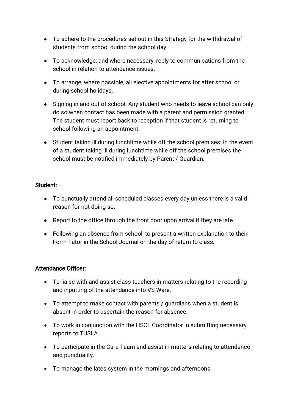- To adhere to the procedures set out in this Strategy for the withdrawal of students from school during the school day.
- To acknowledge, and where necessary, reply to communications from the school in relation to attendance issues.
- To arrange, where possible, all elective appointments for after school or during school holidays.
- Signing in and out of school: Any student who needs to leave school can only do so when contact has been made with a parent and permission granted. The student must report back to reception if that student is returning to school following an appointment.
- Student taking ill during lunchtime while off the school premises: In the event of a student taking ill during lunchtime while off the school premises the school must be notified immediately by Parent / Guardian.

#### Student:

- To punctually attend all scheduled classes every day unless there is a valid reason for not doing so.
- Report to the office through the front door upon arrival if they are late.
- Following an absence from school, to present a written explanation to their Form Tutor in the School Journal on the day of return to class.

#### Attendance Officer:

- To liaise with and assist class teachers in matters relating to the recording and inputting of the attendance into VS Ware.
- $\bullet$  To attempt to make contact with parents / guardians when a student is absent in order to ascertain the reason for absence.
- To work in conjunction with the HSCL Coordinator in submitting necessary reports to TUSLA.
- To participate in the Care Team and assist in matters relating to attendance and punctuality.
- To manage the lates system in the mornings and afternoons.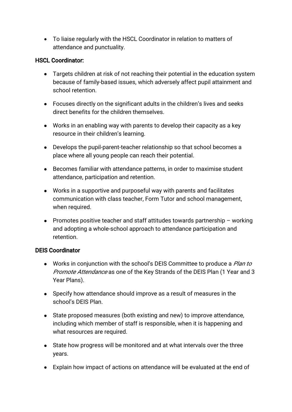• To liaise regularly with the HSCL Coordinator in relation to matters of attendance and punctuality.

#### **HSCL Coordinator:**

- Targets children at risk of not reaching their potential in the education system because of family-based issues, which adversely affect pupil attainment and school retention.
- Focuses directly on the significant adults in the children's lives and seeks direct benefits for the children themselves.
- Works in an enabling way with parents to develop their capacity as a key resource in their children's learning.
- Develops the pupil-parent-teacher relationship so that school becomes a place where all young people can reach their potential.
- Becomes familiar with attendance patterns, in order to maximise student attendance, participation and retention.
- Works in a supportive and purposeful way with parents and facilitates communication with class teacher, Form Tutor and school management, when required.
- Promotes positive teacher and staff attitudes towards partnership working and adopting a whole-school approach to attendance participation and retention.

#### DEIS Coordinator

- Works in conjunction with the school's DEIS Committee to produce a *Plan to* Promote Attendance as one of the Key Strands of the DEIS Plan (1 Year and 3 Year Plans).
- Specify how attendance should improve as a result of measures in the school's DEIS Plan.
- State proposed measures (both existing and new) to improve attendance, including which member of staff is responsible, when it is happening and what resources are required.
- State how progress will be monitored and at what intervals over the three years.
- Explain how impact of actions on attendance will be evaluated at the end of